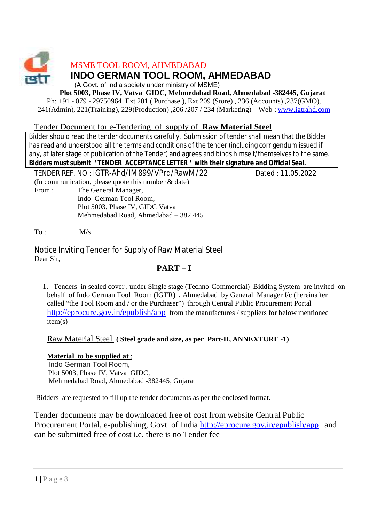

MSME TOOL ROOM, AHMEDABAD

# **INDO GERMAN TOOL ROOM, AHMEDABAD**

(A Govt. of India society under ministry of MSME)

**Plot 5003, Phase IV, Vatva GIDC, Mehmedabad Road, Ahmedabad -382445, Gujarat** 

Ph: +91 - 079 - 29750964 Ext 201 ( Purchase ), Ext 209 (Store) , 236 (Accounts) ,237(GMO), 241(Admin), 221(Training), 229(Production) ,206 /207 / 234 (Marketing) Web : [www.igtrahd.com](http://www.igtrahd.com)

## Tender Document for e-Tendering of supply of **Raw Material Steel**

Bidder should read the tender documents carefully. Submission of tender shall mean that the Bidder has read and understood all the terms and conditions of the tender (including corrigendum issued if any, at later stage of publication of the Tender) and agrees and binds himself/themselves to the same. Bidders must submit 'TENDER ACCEPTANCE LETTER ' with their signature and Official Seal.

TENDER REF. NO : IGTR-Ahd/IM899/VPrd/RawM/22 Dated : 11.05.2022

(In communication, please quote this number & date)

From : The General Manager, Indo German Tool Room, Plot 5003, Phase IV, GIDC Vatva Mehmedabad Road, Ahmedabad – 382 445

 $T_0$  :  $M/s$ 

Notice Inviting Tender for Supply of Raw Material Steel Dear Sir,

# **PART – I**

 1. Tenders in sealed cover , under Single stage (Techno-Commercial) Bidding System are invited on behalf of Indo German Tool Room (IGTR) , Ahmedabad by General Manager I/c (hereinafter called "the Tool Room and / or the Purchaser") through Central Public Procurement Portal <http://eprocure.gov.in/epublish/app> from the manufactures / suppliers for below mentioned item(s)

Raw Material Steel **( Steel grade and size, as per Part-II, ANNEXTURE -1)**

## **Material to be supplied at** :

 Indo German Tool Room, Plot 5003, Phase IV, Vatva GIDC, Mehmedabad Road, Ahmedabad -382445, Gujarat

Bidders are requested to fill up the tender documents as per the enclosed format.

Tender documents may be downloaded free of cost from website Central Public Procurement Portal, e-publishing, Govt. of India <http://eprocure.gov.in/epublish/app> and can be submitted free of cost i.e. there is no Tender fee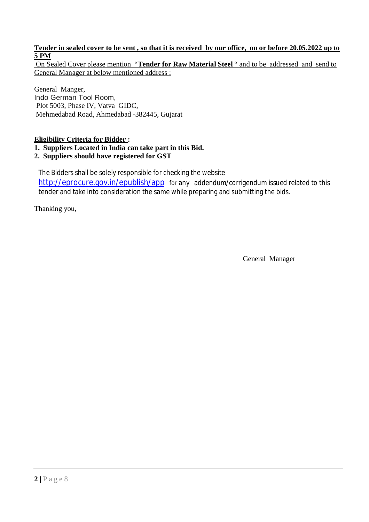### **Tender in sealed cover to be sent , so that it is received by our office, on or before 20.05.2022 up to 5 PM**

On Sealed Cover please mention "**Tender for Raw Material Steel** " and to be addressed and send to General Manager at below mentioned address :

General Manger, Indo German Tool Room, Plot 5003, Phase IV, Vatva GIDC, Mehmedabad Road, Ahmedabad -382445, Gujarat

### **Eligibility Criteria for Bidder :**

### **1. Suppliers Located in India can take part in this Bid.**

#### **2. Suppliers should have registered for GST**

The Bidders shall be solely responsible for checking the website <http://eprocure.gov.in/epublish/app> for any addendum/corrigendum issued related to this tender and take into consideration the same while preparing and submitting the bids.

Thanking you,

General Manager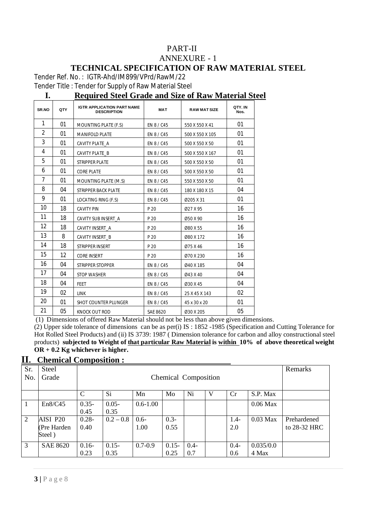### PART-II ANNEXURE - 1 **TECHNICAL SPECIFICATION OF RAW MATERIAL STEEL**

Tender Ref. No. : IGTR-Ahd/IM899/VPrd/RawM/22

Tender Title : Tender for Supply of Raw Material Steel

## **I. Required Steel Grade and Size of Raw Material Steel**

| <b>SR.NO</b>   | QTY | <b>IGTR APPLICATION PART NAME</b><br><b>DESCRIPTION</b> | <b>MAT</b> | <b>RAW MAT SIZE</b> | QTY.IN<br>Nos. |
|----------------|-----|---------------------------------------------------------|------------|---------------------|----------------|
| 1              | 01  | MOUNTING PLATE (F.S)                                    | EN 8 / C45 | 550 X 550 X 41      | 01             |
| $\overline{2}$ | 01  | <b>MANIFOLD PLATE</b>                                   | EN 8 / C45 | 500 X 550 X 105     | 01             |
| 3              | 01  | CAVITY PLATE_A                                          | EN 8 / C45 | 500 X 550 X 50      | 01             |
| 4              | 01  | CAVITY PLATE B                                          | EN 8 / C45 | 500 X 550 X 167     | 01             |
| 5              | 01  | <b>STRIPPER PLATE</b>                                   | EN 8 / C45 | 500 X 550 X 50      | 01             |
| 6              | 01  | <b>CORE PLATE</b>                                       | EN 8 / C45 | 500 X 550 X 50      | 01             |
| 7              | 01  | MOUNTING PLATE (M.S)                                    | EN 8 / C45 | 550 X 550 X 50      | 01             |
| 8              | 04  | <b>STRIPPER BACK PLATE</b>                              | EN 8 / C45 | 180 X 180 X 15      | 04             |
| 9              | 01  | LOCATING RING (F.S)                                     | EN 8 / C45 | Ø205 X 31           | 01             |
| 10             | 18  | <b>CAVITY PIN</b>                                       | P 20       | Ø27 X 95            | 16             |
| 11             | 18  | CAVITY SUB INSERT A                                     | P 20       | Ø50 X 90            | 16             |
| 12             | 18  | CAVITY INSERT A                                         | P 20       | Ø80 X 55            | 16             |
| 13             | 8   | CAVITY INSERT_B                                         | P 20       | Ø80 X 172           | 16             |
| 14             | 18  | STRIPPER INSERT                                         | P 20       | Ø75 X 46            | 16             |
| 15             | 12  | CORE INSERT                                             | P 20       | Ø70 X 230           | 16             |
| 16             | 04  | <b>STRIPPER STOPPER</b>                                 | EN 8 / C45 | Ø40 X 185           | 04             |
| 17             | 04  | <b>STOP WASHER</b>                                      | EN 8 / C45 | Ø43 X 40            | 04             |
| 18             | 04  | <b>FEET</b>                                             | EN 8 / C45 | Ø30 X 45            | 04             |
| 19             | 02  | <b>LINK</b>                                             | EN 8 / C45 | 25 X 45 X 143       | 02             |
| 20             | 01  | <b>SHOT COUNTER PLUNGER</b>                             | EN 8 / C45 | 45 x 30 x 20        | 01             |
| 21             | 05  | KNOCK OUT ROD                                           | SAE 8620   | Ø30 X 205           | 05             |

(1) Dimensions of offered Raw Material should not be less than above given dimensions.

(2) Upper side tolerance of dimensions can be as per(i) IS : 1852 -1985 (Specification and Cutting Tolerance for Hot Rolled Steel Products) and (ii) IS 3739: 1987 ( Dimension tolerance for carbon and alloy constructional steel products) **subjected to Weight of that particular Raw Material is within 10% of above theoretical weight OR + 0.2 Kg whichever is higher.** 

### **II. Chemical Composition :**

| Sr. | <b>Steel</b>                      |                  |                      |                 |                  |                |   | Remarks        |                    |                             |
|-----|-----------------------------------|------------------|----------------------|-----------------|------------------|----------------|---|----------------|--------------------|-----------------------------|
| No. | Grade                             |                  | Chemical Composition |                 |                  |                |   |                |                    |                             |
|     |                                   | C                | <b>Si</b>            | Mn              | Mo               | Ni             | V | Cr             | S.P. Max           |                             |
|     | En8/C45                           | $0.35 -$<br>0.45 | $0.05 -$<br>0.35     | $0.6 - 1.00$    |                  |                |   |                | $0.06$ Max         |                             |
| 2   | AISI P20<br>(Pre Harden<br>Steel) | $0.28 -$<br>0.40 | $0.2 - 0.8$          | $0.6 -$<br>1.00 | $0.3 -$<br>0.55  |                |   | $1.4-$<br>2.0  | $0.03$ Max         | Prehardened<br>to 28-32 HRC |
| 3   | <b>SAE 8620</b>                   | $0.16-$<br>0.23  | $0.15 -$<br>0.35     | $0.7 - 0.9$     | $0.15 -$<br>0.25 | $0.4 -$<br>0.7 |   | $0.4 -$<br>0.6 | 0.035/0.0<br>4 Max |                             |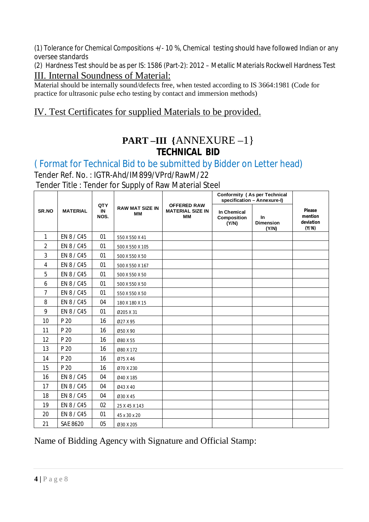(1) Tolerance for Chemical Compositions +/- 10 %, Chemical testing should have followed Indian or any oversee standards

(2) Hardness Test should be as per IS: 1586 (Part-2): 2012 – Metallic Materials Rockwell Hardness Test III. Internal Soundness of Material:

Material should be internally sound/defects free, when tested according to IS 3664:1981 (Code for practice for ultrasonic pulse echo testing by contact and immersion methods)

# IV. Test Certificates for supplied Materials to be provided.

# **PART –III {**ANNEXURE –1} **TECHNICAL BID**

# ( Format for Technical Bid to be submitted by Bidder on Letter head)

Tender Ref. No. : IGTR-Ahd/IM899/VPrd/RawM/22

Tender Title : Tender for Supply of Raw Material Steel

|                |                 |                   |                              |                                                            | Conformity (As per Technical<br>specification - Annexure-I) |                                  |                                         |
|----------------|-----------------|-------------------|------------------------------|------------------------------------------------------------|-------------------------------------------------------------|----------------------------------|-----------------------------------------|
| SR.NO          | <b>MATERIAL</b> | QTY<br>IN<br>NOS. | <b>RAW MAT SIZE IN</b><br>MМ | <b>OFFERED RAW</b><br><b>MATERIAL SIZE IN</b><br><b>MM</b> | <b>In Chemical</b><br><b>Composition</b><br>(Y/N)           | In.<br><b>Dimension</b><br>(Y/N) | Please<br>mention<br>deviation<br>(Y/N) |
| $\mathbf{1}$   | EN 8 / C45      | 01                | 550 X 550 X 41               |                                                            |                                                             |                                  |                                         |
| $\overline{2}$ | EN 8 / C45      | 01                | 500 X 550 X 105              |                                                            |                                                             |                                  |                                         |
| 3              | EN 8 / C45      | 01                | 500 X 550 X 50               |                                                            |                                                             |                                  |                                         |
| 4              | EN 8 / C45      | 01                | 500 X 550 X 167              |                                                            |                                                             |                                  |                                         |
| 5              | EN 8 / C45      | 01                | 500 X 550 X 50               |                                                            |                                                             |                                  |                                         |
| 6              | EN 8 / C45      | 01                | 500 X 550 X 50               |                                                            |                                                             |                                  |                                         |
| $\overline{7}$ | EN 8 / C45      | 01                | 550 X 550 X 50               |                                                            |                                                             |                                  |                                         |
| 8              | EN 8 / C45      | 04                | 180 X 180 X 15               |                                                            |                                                             |                                  |                                         |
| 9              | EN 8 / C45      | 01                | Ø205 X 31                    |                                                            |                                                             |                                  |                                         |
| 10             | P 20            | 16                | Ø27 X 95                     |                                                            |                                                             |                                  |                                         |
| 11             | P 20            | 16                | Ø50 X 90                     |                                                            |                                                             |                                  |                                         |
| 12             | P 20            | 16                | Ø80 X 55                     |                                                            |                                                             |                                  |                                         |
| 13             | P 20            | 16                | Ø80 X 172                    |                                                            |                                                             |                                  |                                         |
| 14             | P 20            | 16                | Ø75 X 46                     |                                                            |                                                             |                                  |                                         |
| 15             | P 20            | 16                | Ø70 X 230                    |                                                            |                                                             |                                  |                                         |
| 16             | EN 8 / C45      | 04                | Ø40 X 185                    |                                                            |                                                             |                                  |                                         |
| 17             | EN 8 / C45      | 04                | Ø43 X 40                     |                                                            |                                                             |                                  |                                         |
| 18             | EN 8 / C45      | 04                | Ø30 X 45                     |                                                            |                                                             |                                  |                                         |
| 19             | EN 8 / C45      | 02                | 25 X 45 X 143                |                                                            |                                                             |                                  |                                         |
| 20             | EN 8 / C45      | 01                | 45 x 30 x 20                 |                                                            |                                                             |                                  |                                         |
| 21             | <b>SAE 8620</b> | 05                | Ø30 X 205                    |                                                            |                                                             |                                  |                                         |

# Name of Bidding Agency with Signature and Official Stamp: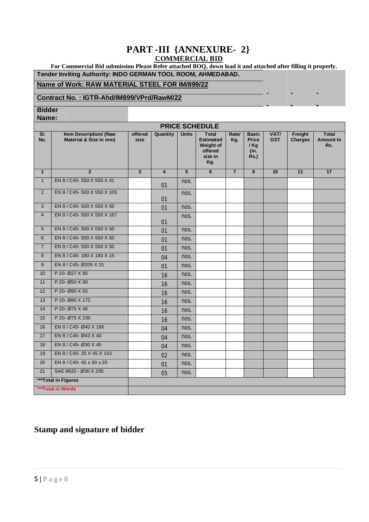## **PART -III {ANNEXURE- 2} COMMERCIAL BID**

 **For Commercial Bid submission Please Refer attached BOQ, down load it and attached after filling it properly. Tender Inviting Authority: INDO GERMAN TOOL ROOM, AHMEDABAD.**

#### **Name of Work: RAW MATERIAL STEEL FOR IM/899/22**

#### **Contract No. : IGTR-Ahd/IM899/VPrd/RawM/22**

**Bidder** 

**Name:**

| <b>PRICE SCHEDULE</b> |                                                  |                 |                         |                 |                                                                            |                |                                                    |                    |                           |                                         |
|-----------------------|--------------------------------------------------|-----------------|-------------------------|-----------------|----------------------------------------------------------------------------|----------------|----------------------------------------------------|--------------------|---------------------------|-----------------------------------------|
| SI.<br>No.            | Item Description/ (Raw<br>Material & Size in mm) | offered<br>size | Quantity                | <b>Units</b>    | <b>Total</b><br><b>Estimated</b><br>Weight of<br>offered<br>size in<br>Kg. | Rate/<br>Kg.   | <b>Basic</b><br>Price<br>$/$ Kg<br>(in.<br>$Rs.$ ) | VAT/<br><b>GST</b> | Freight<br><b>Charges</b> | <b>Total</b><br><b>Amount In</b><br>Rs. |
| $\mathbf{1}$          | $\overline{2}$                                   | $\overline{3}$  | $\overline{\mathbf{4}}$ | $5\overline{5}$ | 6                                                                          | $\overline{7}$ | $\overline{\mathbf{8}}$                            | 10                 | 11                        | 17                                      |
| $\mathbf{1}$          | EN 8 / C45-550 X 550 X 41                        |                 | 01                      | nos.            |                                                                            |                |                                                    |                    |                           |                                         |
| 2                     | EN 8 / C45-500 X 550 X 105                       |                 | 01                      | nos.            |                                                                            |                |                                                    |                    |                           |                                         |
| $\mathbf{3}$          | EN 8 / C45-500 X 550 X 50                        |                 | 01                      | nos.            |                                                                            |                |                                                    |                    |                           |                                         |
| $\overline{4}$        | EN 8 / C45-500 X 550 X 167                       |                 | 01                      | nos.            |                                                                            |                |                                                    |                    |                           |                                         |
| 5                     | EN 8 / C45-500 X 550 X 50                        |                 | 01                      | nos.            |                                                                            |                |                                                    |                    |                           |                                         |
| 6                     | EN 8 / C45-500 X 550 X 50                        |                 | 01                      | nos.            |                                                                            |                |                                                    |                    |                           |                                         |
| $\overline{7}$        | EN 8 / C45-550 X 550 X 50                        |                 | 01                      | nos.            |                                                                            |                |                                                    |                    |                           |                                         |
| 8                     | EN 8 / C45-180 X 180 X 15                        |                 | 04                      | nos.            |                                                                            |                |                                                    |                    |                           |                                         |
| 9                     | EN 8 / C45- Ø205 X 31                            |                 | 01                      | nos.            |                                                                            |                |                                                    |                    |                           |                                         |
| 10                    | P 20- Ø27 X 95                                   |                 | 16                      | nos.            |                                                                            |                |                                                    |                    |                           |                                         |
| 11                    | P 20- Ø50 X 90                                   |                 | 16                      | nos.            |                                                                            |                |                                                    |                    |                           |                                         |
| $\overline{12}$       | P 20- Ø80 X 55                                   |                 | 16                      | nos.            |                                                                            |                |                                                    |                    |                           |                                         |
| 13                    | P 20- Ø80 X 172                                  |                 | 16                      | nos.            |                                                                            |                |                                                    |                    |                           |                                         |
| 14                    | P 20- Ø75 X 46                                   |                 | 16                      | nos.            |                                                                            |                |                                                    |                    |                           |                                         |
| 15                    | P 20- Ø75 X 230                                  |                 | 16                      | nos.            |                                                                            |                |                                                    |                    |                           |                                         |
| 16                    | EN 8 / C45- Ø40 X 185                            |                 | 04                      | nos.            |                                                                            |                |                                                    |                    |                           |                                         |
| 17                    | EN 8 / C45- Ø43 X 40                             |                 | 04                      | nos.            |                                                                            |                |                                                    |                    |                           |                                         |
| 18                    | EN 8 / C45- Ø30 X 45                             |                 | 04                      | nos.            |                                                                            |                |                                                    |                    |                           |                                         |
| 19                    | EN 8 / C45-25 X 45 X 143                         |                 | 02                      | nos.            |                                                                            |                |                                                    |                    |                           |                                         |
| 20                    | EN 8 / C45-45 x 30 x 20                          |                 | 01                      | nos.            |                                                                            |                |                                                    |                    |                           |                                         |
| 21                    | SAE 8620 - Ø30 X 205                             |                 | 05                      | nos.            |                                                                            |                |                                                    |                    |                           |                                         |
|                       | ***Total in Figures                              |                 |                         |                 |                                                                            |                |                                                    |                    |                           |                                         |
|                       | ***Total in Words                                |                 |                         |                 |                                                                            |                |                                                    |                    |                           |                                         |

## **Stamp and signature of bidder**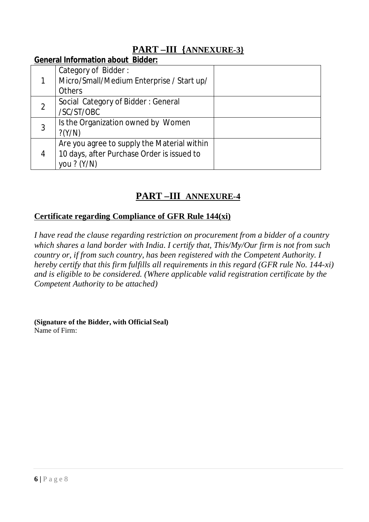# **PART –III {ANNEXURE-3}**

## **General Information about Bidder:**

|   | Category of Bidder:<br>Micro/Small/Medium Enterprise / Start up/ |  |
|---|------------------------------------------------------------------|--|
|   | <b>Others</b>                                                    |  |
|   | Social Category of Bidder: General                               |  |
|   | /SC/ST/OBC                                                       |  |
| 3 | Is the Organization owned by Women                               |  |
|   | $?$ (Y/N)                                                        |  |
| 4 | Are you agree to supply the Material within                      |  |
|   | 10 days, after Purchase Order is issued to                       |  |
|   | you ? (Y/N)                                                      |  |

# **PART –III ANNEXURE-4**

# **Certificate regarding Compliance of GFR Rule 144(xi)**

*I have read the clause regarding restriction on procurement from a bidder of a country which shares a land border with India. I certify that, This/My/Our firm is not from such country or, if from such country, has been registered with the Competent Authority. I hereby certify that this firm fulfills all requirements in this regard (GFR rule No. 144-xi) and is eligible to be considered. (Where applicable valid registration certificate by the Competent Authority to be attached)* 

**(Signature of the Bidder, with Official Seal)** Name of Firm: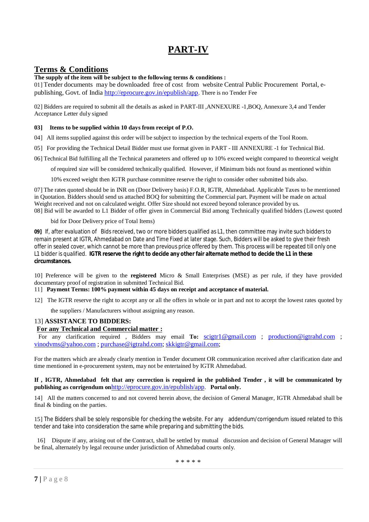# **PART-IV**

## **Terms & Conditions**

#### **The supply of the item will be subject to the following terms & conditions :**

01] Tender documents may be downloaded free of cost from website Central Public Procurement Portal, epublishing, Govt. of India<http://eprocure.gov.in/epublish/app>. There is no Tender Fee

02] Bidders are required to submit all the details as asked in PART-III ,ANNEXURE -1,BOQ, Annexure 3,4 and Tender Acceptance Letter duly signed

#### **03] Items to be supplied within 10 days from receipt of P.O.**

- 04] All items supplied against this order will be subject to inspection by the technical experts of the Tool Room.
- 05] For providing the Technical Detail Bidder must use format given in PART III ANNEXURE -1 for Technical Bid.
- 06] Technical Bid fulfilling all the Technical parameters and offered up to 10% exceed weight compared to theoretical weight

of required size will be considered technically qualified. However, if Minimum bids not found as mentioned within

10% exceed weight then IGTR purchase committee reserve the right to consider other submitted bids also.

07] The rates quoted should be in INR on (Door Delivery basis) F.O.R, IGTR, Ahmedabad. Applicable Taxes to be mentioned in Quotation. Bidders should send us attached BOQ for submitting the Commercial part. Payment will be made on actual Weight received and not on calculated weight. Offer Size should not exceed beyond tolerance provided by us. 08] Bid will be awarded to L1 Bidder of offer given in Commercial Bid among Technically qualified bidders (Lowest quoted

bid for Door Delivery price of Total Items)

**09]** If, after evaluation of Bids received, two or more bidders qualified as L1, then committee may invite such bidders to remain present at IGTR, Ahmedabad on Date and Time Fixed at later stage. Such, Bidders will be asked to give their fresh offer in sealed cover, which cannot be more than previous price offered by them. This process will be repeated till only one L1 bidder is qualified. **IGTR reserve the right to decide any other fair alternate method to decide the L1 in these circumstances.** 

10] Preference will be given to the **registered** Micro & Small Enterprises (MSE) as per rule, if they have provided documentary proof of registration in submitted Technical Bid.

#### 11] **Payment Terms: 100% payment within 45 days on receipt and acceptance of material.**

12] The IGTR reserve the right to accept any or all the offers in whole or in part and not to accept the lowest rates quoted by

the suppliers / Manufacturers without assigning any reason.

#### 13] **ASSISTANCE TO BIDDERS:**

#### **For any Technical and Commercial matter :**

For any clarification required , Bidders may email **To:** [scigtr1@gmail.com](mailto:scigtr1@gmail.com) ; [production@igtrahd.com](mailto:production@igtrahd.com) ; [vinodvms@yahoo.com](mailto:vinodvms@yahoo.com) ; [purchase@igtrahd.com;](mailto:purchase@igtrahd.com;) [skkigtr@gmail.com;](mailto:skkigtr@gmail.com;)

For the matters which are already clearly mention in Tender document OR communication received after clarification date and time mentioned in e-procurement system, may not be entertained by IGTR Ahmedabad.

**If , IGTR, Ahmedabad felt that any correction is required in the published Tender , it will be communicated by publishing as corrigendum on**<http://eprocure.gov.in/epublish/app>. **Portal only.**

14] All the matters concerned to and not covered herein above, the decision of General Manager, IGTR Ahmedabad shall be final & binding on the parties.

15] The Bidders shall be solely responsible for checking the website. For any addendum/corrigendum issued related to this tender and take into consideration the same while preparing and submitting the bids.

 16] Dispute if any, arising out of the Contract, shall be settled by mutual discussion and decision of General Manager will be final, alternately by legal recourse under jurisdiction of Ahmedabad courts only.

\* \* \* \* \*